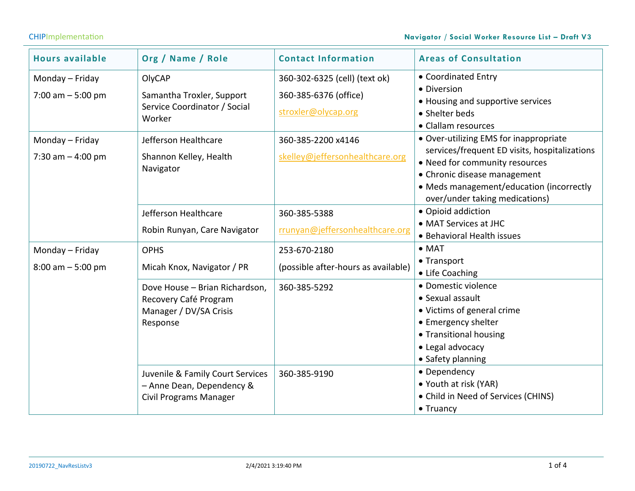## CHIPImplementation **Navigator / Social Worker Resource List – Draft V3**

| <b>Hours available</b>                  | Org / Name / Role                                                                              | <b>Contact Information</b>                                                    | <b>Areas of Consultation</b>                                                                                                                                                                                                            |
|-----------------------------------------|------------------------------------------------------------------------------------------------|-------------------------------------------------------------------------------|-----------------------------------------------------------------------------------------------------------------------------------------------------------------------------------------------------------------------------------------|
| Monday – Friday<br>7:00 am $-5:00$ pm   | OlyCAP<br>Samantha Troxler, Support<br>Service Coordinator / Social<br>Worker                  | 360-302-6325 (cell) (text ok)<br>360-385-6376 (office)<br>stroxler@olycap.org | • Coordinated Entry<br>• Diversion<br>• Housing and supportive services<br>• Shelter beds<br>• Clallam resources                                                                                                                        |
| Monday - Friday<br>7:30 am $-$ 4:00 pm  | Jefferson Healthcare<br>Shannon Kelley, Health<br>Navigator                                    | 360-385-2200 x4146<br>skelley@jeffersonhealthcare.org                         | • Over-utilizing EMS for inappropriate<br>services/frequent ED visits, hospitalizations<br>• Need for community resources<br>• Chronic disease management<br>• Meds management/education (incorrectly<br>over/under taking medications) |
|                                         | Jefferson Healthcare<br>Robin Runyan, Care Navigator                                           | 360-385-5388<br>rrunyan@jeffersonhealthcare.org                               | • Opioid addiction<br>• MAT Services at JHC<br>• Behavioral Health issues                                                                                                                                                               |
| Monday - Friday<br>$8:00$ am $-5:00$ pm | <b>OPHS</b><br>Micah Knox, Navigator / PR                                                      | 253-670-2180<br>(possible after-hours as available)                           | $\bullet$ MAT<br>• Transport<br>• Life Coaching                                                                                                                                                                                         |
|                                         | Dove House - Brian Richardson,<br>Recovery Café Program<br>Manager / DV/SA Crisis<br>Response  | 360-385-5292                                                                  | · Domestic violence<br>• Sexual assault<br>• Victims of general crime<br>• Emergency shelter<br>• Transitional housing<br>• Legal advocacy<br>• Safety planning                                                                         |
|                                         | Juvenile & Family Court Services<br>- Anne Dean, Dependency &<br><b>Civil Programs Manager</b> | 360-385-9190                                                                  | • Dependency<br>• Youth at risk (YAR)<br>• Child in Need of Services (CHINS)<br>$\bullet$ Truancy                                                                                                                                       |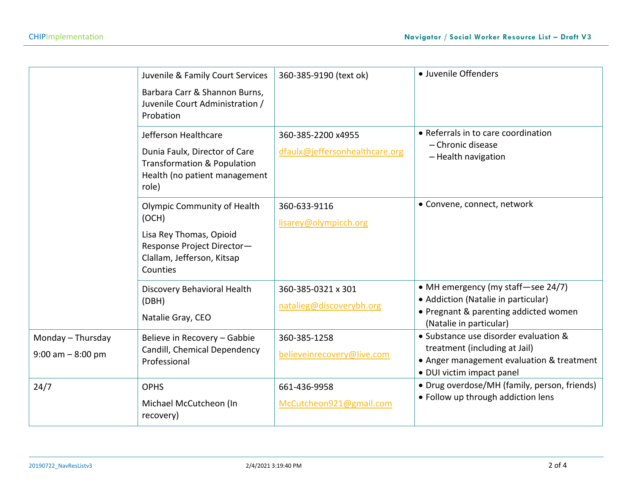|                                           | Juvenile & Family Court Services<br>Barbara Carr & Shannon Burns,<br>Juvenile Court Administration /<br>Probation                              | 360-385-9190 (text ok)                               | · Juvenile Offenders                                                                                                                             |
|-------------------------------------------|------------------------------------------------------------------------------------------------------------------------------------------------|------------------------------------------------------|--------------------------------------------------------------------------------------------------------------------------------------------------|
|                                           | Jefferson Healthcare<br>Dunia Faulx, Director of Care<br>Transformation & Population<br>Health (no patient management<br>role)                 | 360-385-2200 x4955<br>dfaulx@jeffersonhealthcare.org | • Referrals in to care coordination<br>- Chronic disease<br>- Health navigation                                                                  |
|                                           | <b>Olympic Community of Health</b><br>(OCH)<br>Lisa Rey Thomas, Opioid<br>Response Project Director-<br>Clallam, Jefferson, Kitsap<br>Counties | 360-633-9116<br>lisarey@olympicch.org                | • Convene, connect, network                                                                                                                      |
|                                           | Discovery Behavioral Health<br>(DBH)<br>Natalie Gray, CEO                                                                                      | 360-385-0321 x 301<br>natalieg@discoverybh.org       | • MH emergency (my staff-see 24/7)<br>• Addiction (Natalie in particular)<br>• Pregnant & parenting addicted women<br>(Natalie in particular)    |
| Monday - Thursday<br>$9:00$ am $-8:00$ pm | Believe in Recovery - Gabbie<br>Candill, Chemical Dependency<br>Professional                                                                   | 360-385-1258<br>believeinrecovery@live.com           | • Substance use disorder evaluation &<br>treatment (including at Jail)<br>• Anger management evaluation & treatment<br>• DUI victim impact panel |
| 24/7                                      | <b>OPHS</b><br>Michael McCutcheon (In<br>recovery)                                                                                             | 661-436-9958<br>McCutcheon921@gmail.com              | • Drug overdose/MH (family, person, friends)<br>• Follow up through addiction lens                                                               |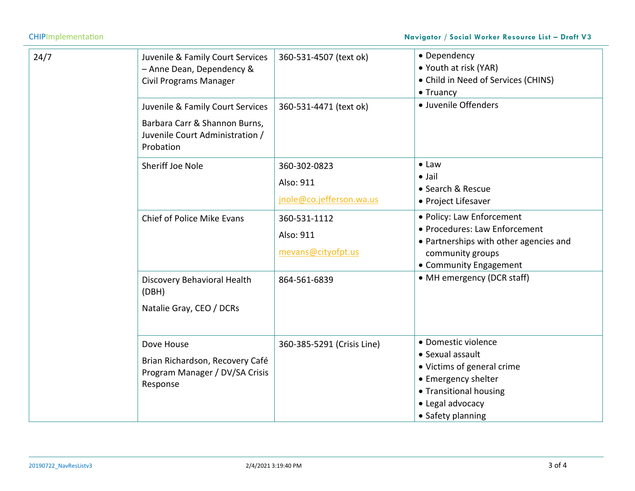## CHIPImplementation **Navigator / Social Worker Resource List – Draft V3**

| 24/7 | Juvenile & Family Court Services<br>- Anne Dean, Dependency &<br><b>Civil Programs Manager</b>                    | 360-531-4507 (text ok)                                | • Dependency<br>• Youth at risk (YAR)<br>• Child in Need of Services (CHINS)<br>• Truancy                                                                       |
|------|-------------------------------------------------------------------------------------------------------------------|-------------------------------------------------------|-----------------------------------------------------------------------------------------------------------------------------------------------------------------|
|      | Juvenile & Family Court Services<br>Barbara Carr & Shannon Burns,<br>Juvenile Court Administration /<br>Probation | 360-531-4471 (text ok)                                | · Juvenile Offenders                                                                                                                                            |
|      | Sheriff Joe Nole                                                                                                  | 360-302-0823<br>Also: 911<br>jnole@co.jefferson.wa.us | $\bullet$ Law<br>$\bullet$ Jail<br>• Search & Rescue<br>• Project Lifesaver                                                                                     |
|      | Chief of Police Mike Evans                                                                                        | 360-531-1112<br>Also: 911<br>mevans@cityofpt.us       | · Policy: Law Enforcement<br>• Procedures: Law Enforcement<br>• Partnerships with other agencies and<br>community groups<br>• Community Engagement              |
|      | Discovery Behavioral Health<br>(DBH)<br>Natalie Gray, CEO / DCRs                                                  | 864-561-6839                                          | • MH emergency (DCR staff)                                                                                                                                      |
|      | Dove House<br>Brian Richardson, Recovery Café<br>Program Manager / DV/SA Crisis<br>Response                       | 360-385-5291 (Crisis Line)                            | • Domestic violence<br>• Sexual assault<br>• Victims of general crime<br>• Emergency shelter<br>• Transitional housing<br>• Legal advocacy<br>• Safety planning |